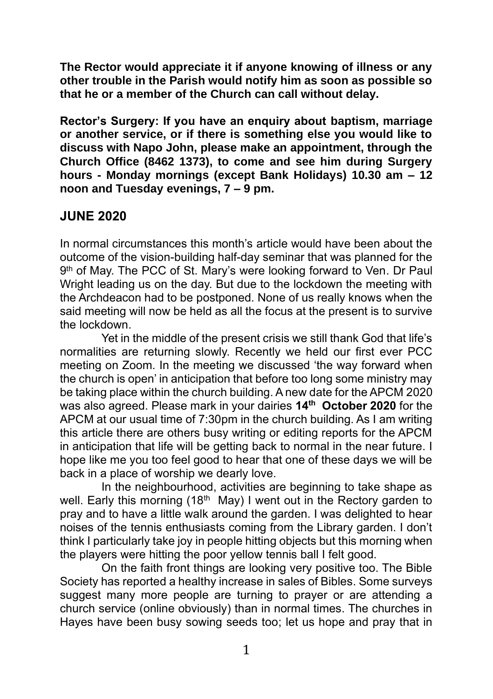**The Rector would appreciate it if anyone knowing of illness or any other trouble in the Parish would notify him as soon as possible so that he or a member of the Church can call without delay.**

**Rector's Surgery: If you have an enquiry about baptism, marriage or another service, or if there is something else you would like to discuss with Napo John, please make an appointment, through the Church Office (8462 1373), to come and see him during Surgery hours - Monday mornings (except Bank Holidays) 10.30 am – 12 noon and Tuesday evenings, 7 – 9 pm.**

## **JUNE 2020**

In normal circumstances this month's article would have been about the outcome of the vision-building half-day seminar that was planned for the 9 th of May. The PCC of St. Mary's were looking forward to Ven. Dr Paul Wright leading us on the day. But due to the lockdown the meeting with the Archdeacon had to be postponed. None of us really knows when the said meeting will now be held as all the focus at the present is to survive the lockdown.

Yet in the middle of the present crisis we still thank God that life's normalities are returning slowly. Recently we held our first ever PCC meeting on Zoom. In the meeting we discussed 'the way forward when the church is open' in anticipation that before too long some ministry may be taking place within the church building. A new date for the APCM 2020 was also agreed. Please mark in your dairies **14th October 2020** for the APCM at our usual time of 7:30pm in the church building. As I am writing this article there are others busy writing or editing reports for the APCM in anticipation that life will be getting back to normal in the near future. I hope like me you too feel good to hear that one of these days we will be back in a place of worship we dearly love.

In the neighbourhood, activities are beginning to take shape as well. Early this morning (18<sup>th May</sup>) I went out in the Rectory garden to pray and to have a little walk around the garden. I was delighted to hear noises of the tennis enthusiasts coming from the Library garden. I don't think I particularly take joy in people hitting objects but this morning when the players were hitting the poor yellow tennis ball I felt good.

On the faith front things are looking very positive too. The Bible Society has reported a healthy increase in sales of Bibles. Some surveys suggest many more people are turning to prayer or are attending a church service (online obviously) than in normal times. The churches in Hayes have been busy sowing seeds too; let us hope and pray that in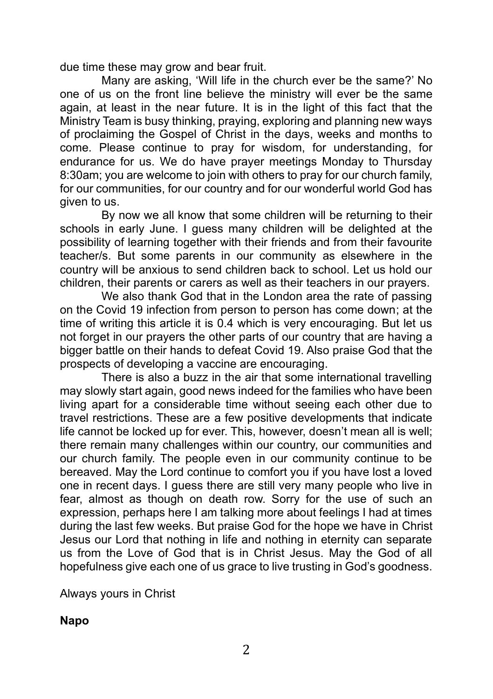due time these may grow and bear fruit.

Many are asking, 'Will life in the church ever be the same?' No one of us on the front line believe the ministry will ever be the same again, at least in the near future. It is in the light of this fact that the Ministry Team is busy thinking, praying, exploring and planning new ways of proclaiming the Gospel of Christ in the days, weeks and months to come. Please continue to pray for wisdom, for understanding, for endurance for us. We do have prayer meetings Monday to Thursday 8:30am; you are welcome to join with others to pray for our church family, for our communities, for our country and for our wonderful world God has given to us.

By now we all know that some children will be returning to their schools in early June. I guess many children will be delighted at the possibility of learning together with their friends and from their favourite teacher/s. But some parents in our community as elsewhere in the country will be anxious to send children back to school. Let us hold our children, their parents or carers as well as their teachers in our prayers.

We also thank God that in the London area the rate of passing on the Covid 19 infection from person to person has come down; at the time of writing this article it is 0.4 which is very encouraging. But let us not forget in our prayers the other parts of our country that are having a bigger battle on their hands to defeat Covid 19. Also praise God that the prospects of developing a vaccine are encouraging.

There is also a buzz in the air that some international travelling may slowly start again, good news indeed for the families who have been living apart for a considerable time without seeing each other due to travel restrictions. These are a few positive developments that indicate life cannot be locked up for ever. This, however, doesn't mean all is well; there remain many challenges within our country, our communities and our church family. The people even in our community continue to be bereaved. May the Lord continue to comfort you if you have lost a loved one in recent days. I guess there are still very many people who live in fear, almost as though on death row. Sorry for the use of such an expression, perhaps here I am talking more about feelings I had at times during the last few weeks. But praise God for the hope we have in Christ Jesus our Lord that nothing in life and nothing in eternity can separate us from the Love of God that is in Christ Jesus. May the God of all hopefulness give each one of us grace to live trusting in God's goodness.

Always yours in Christ

### **Napo**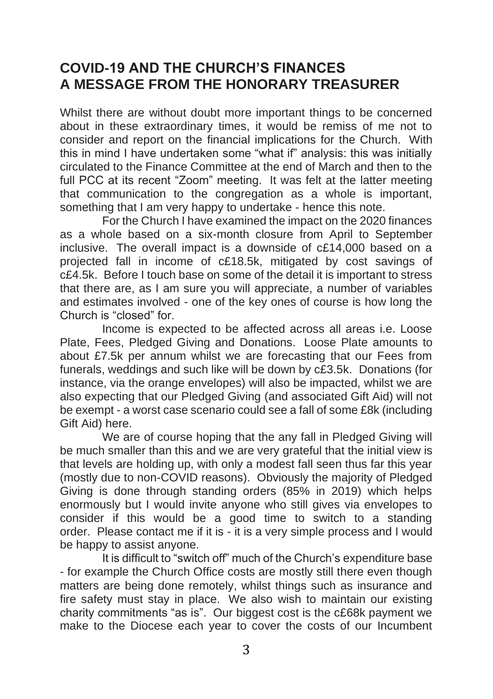# **COVID-19 AND THE CHURCH'S FINANCES A MESSAGE FROM THE HONORARY TREASURER**

Whilst there are without doubt more important things to be concerned about in these extraordinary times, it would be remiss of me not to consider and report on the financial implications for the Church. With this in mind I have undertaken some "what if" analysis: this was initially circulated to the Finance Committee at the end of March and then to the full PCC at its recent "Zoom" meeting. It was felt at the latter meeting that communication to the congregation as a whole is important, something that I am very happy to undertake - hence this note.

For the Church I have examined the impact on the 2020 finances as a whole based on a six-month closure from April to September inclusive. The overall impact is a downside of c£14,000 based on a projected fall in income of c£18.5k, mitigated by cost savings of c£4.5k. Before I touch base on some of the detail it is important to stress that there are, as I am sure you will appreciate, a number of variables and estimates involved - one of the key ones of course is how long the Church is "closed" for.

Income is expected to be affected across all areas i.e. Loose Plate, Fees, Pledged Giving and Donations. Loose Plate amounts to about £7.5k per annum whilst we are forecasting that our Fees from funerals, weddings and such like will be down by c£3.5k. Donations (for instance, via the orange envelopes) will also be impacted, whilst we are also expecting that our Pledged Giving (and associated Gift Aid) will not be exempt - a worst case scenario could see a fall of some £8k (including Gift Aid) here.

We are of course hoping that the any fall in Pledged Giving will be much smaller than this and we are very grateful that the initial view is that levels are holding up, with only a modest fall seen thus far this year (mostly due to non-COVID reasons). Obviously the majority of Pledged Giving is done through standing orders (85% in 2019) which helps enormously but I would invite anyone who still gives via envelopes to consider if this would be a good time to switch to a standing order. Please contact me if it is - it is a very simple process and I would be happy to assist anyone.

It is difficult to "switch off" much of the Church's expenditure base - for example the Church Office costs are mostly still there even though matters are being done remotely, whilst things such as insurance and fire safety must stay in place. We also wish to maintain our existing charity commitments "as is". Our biggest cost is the c£68k payment we make to the Diocese each year to cover the costs of our Incumbent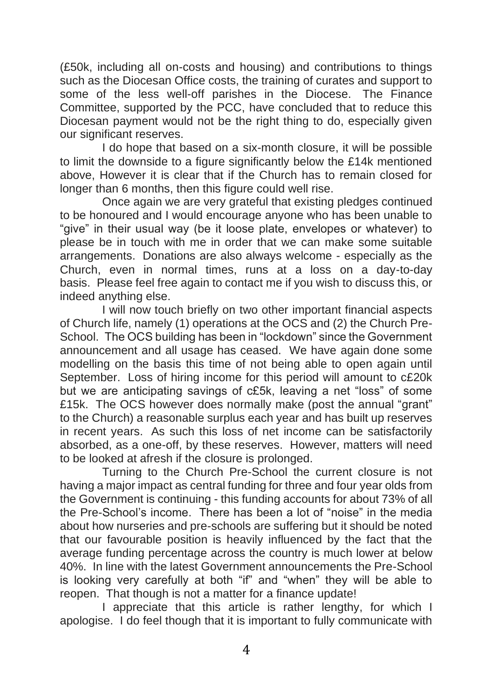(£50k, including all on-costs and housing) and contributions to things such as the Diocesan Office costs, the training of curates and support to some of the less well-off parishes in the Diocese. The Finance Committee, supported by the PCC, have concluded that to reduce this Diocesan payment would not be the right thing to do, especially given our significant reserves.

I do hope that based on a six-month closure, it will be possible to limit the downside to a figure significantly below the £14k mentioned above, However it is clear that if the Church has to remain closed for longer than 6 months, then this figure could well rise.

Once again we are very grateful that existing pledges continued to be honoured and I would encourage anyone who has been unable to "give" in their usual way (be it loose plate, envelopes or whatever) to please be in touch with me in order that we can make some suitable arrangements. Donations are also always welcome - especially as the Church, even in normal times, runs at a loss on a day-to-day basis. Please feel free again to contact me if you wish to discuss this, or indeed anything else.

I will now touch briefly on two other important financial aspects of Church life, namely (1) operations at the OCS and (2) the Church Pre-School. The OCS building has been in "lockdown" since the Government announcement and all usage has ceased. We have again done some modelling on the basis this time of not being able to open again until September. Loss of hiring income for this period will amount to c£20k but we are anticipating savings of c£5k, leaving a net "loss" of some £15k. The OCS however does normally make (post the annual "grant" to the Church) a reasonable surplus each year and has built up reserves in recent years. As such this loss of net income can be satisfactorily absorbed, as a one-off, by these reserves. However, matters will need to be looked at afresh if the closure is prolonged.

Turning to the Church Pre-School the current closure is not having a major impact as central funding for three and four year olds from the Government is continuing - this funding accounts for about 73% of all the Pre-School's income. There has been a lot of "noise" in the media about how nurseries and pre-schools are suffering but it should be noted that our favourable position is heavily influenced by the fact that the average funding percentage across the country is much lower at below 40%. In line with the latest Government announcements the Pre-School is looking very carefully at both "if" and "when" they will be able to reopen. That though is not a matter for a finance update!

I appreciate that this article is rather lengthy, for which I apologise. I do feel though that it is important to fully communicate with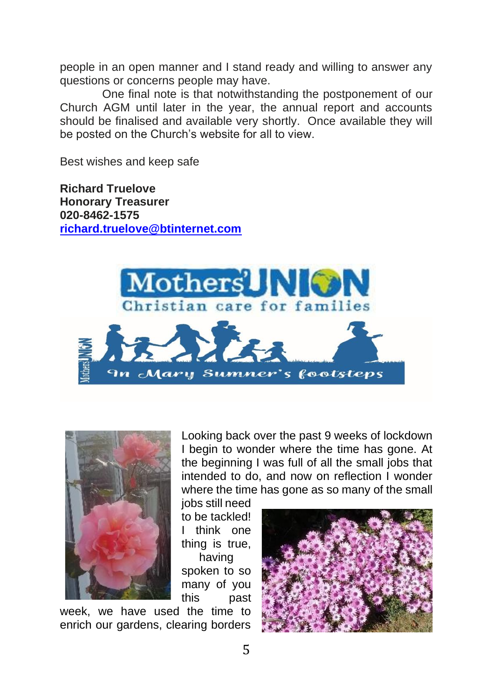people in an open manner and I stand ready and willing to answer any questions or concerns people may have.

One final note is that notwithstanding the postponement of our Church AGM until later in the year, the annual report and accounts should be finalised and available very shortly. Once available they will be posted on the Church's website for all to view.

Best wishes and keep safe

**Richard Truelove Honorary Treasurer 020-8462-1575 [richard.truelove@btinternet.com](mailto:richard.truelove@btinternet.com)**





Looking back over the past 9 weeks of lockdown I begin to wonder where the time has gone. At the beginning I was full of all the small jobs that intended to do, and now on reflection I wonder where the time has gone as so many of the small

jobs still need to be tackled! I think one thing is true, having spoken to so many of you this past

week, we have used the time to enrich our gardens, clearing borders

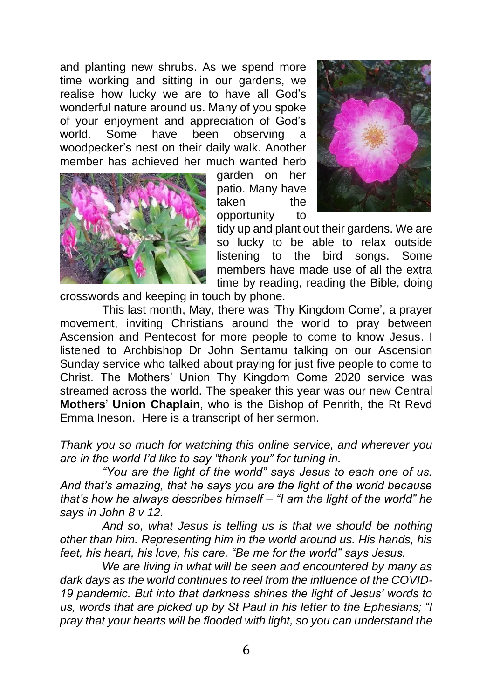and planting new shrubs. As we spend more time working and sitting in our gardens, we realise how lucky we are to have all God's wonderful nature around us. Many of you spoke of your enjoyment and appreciation of God's observing a woodpecker's nest on their daily walk. Another member has achieved her much wanted herb



garden on her patio. Many have taken the opportunity to



tidy up and plant out their gardens. We are so lucky to be able to relax outside listening to the bird songs. Some members have made use of all the extra time by reading, reading the Bible, doing

crosswords and keeping in touch by phone.

This last month, May, there was 'Thy Kingdom Come', a prayer movement, inviting Christians around the world to pray between Ascension and Pentecost for more people to come to know Jesus. I listened to Archbishop Dr John Sentamu talking on our Ascension Sunday service who talked about praying for just five people to come to Christ. The Mothers' Union Thy Kingdom Come 2020 service was streamed across the world. The speaker this year was our new Central **Mothers**' **Union Chaplain**, who is the Bishop of Penrith, the Rt Revd Emma Ineson. Here is a transcript of her sermon.

*Thank you so much for watching this online service, and wherever you are in the world I'd like to say "thank you" for tuning in.* 

*"You are the light of the world" says Jesus to each one of us. And that's amazing, that he says you are the light of the world because that's how he always describes himself – "I am the light of the world" he says in John 8 v 12.* 

*And so, what Jesus is telling us is that we should be nothing other than him. Representing him in the world around us. His hands, his feet, his heart, his love, his care. "Be me for the world" says Jesus.* 

*We are living in what will be seen and encountered by many as dark days as the world continues to reel from the influence of the COVID-19 pandemic. But into that darkness shines the light of Jesus' words to us, words that are picked up by St Paul in his letter to the Ephesians; "I pray that your hearts will be flooded with light, so you can understand the*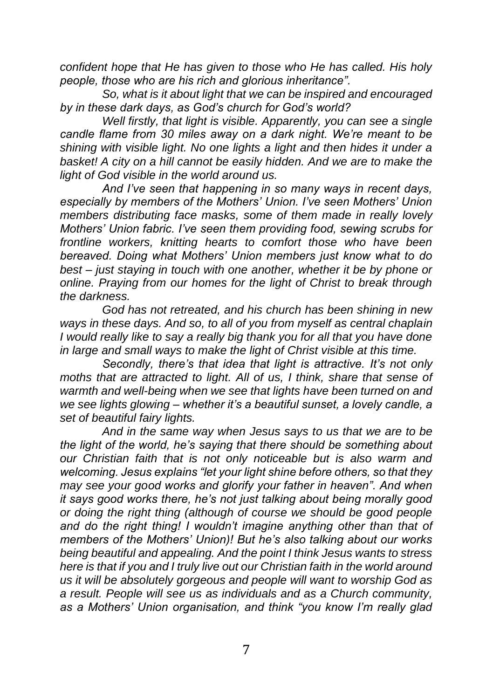*confident hope that He has given to those who He has called. His holy people, those who are his rich and glorious inheritance".* 

*So, what is it about light that we can be inspired and encouraged by in these dark days, as God's church for God's world?*

*Well firstly, that light is visible. Apparently, you can see a single candle flame from 30 miles away on a dark night. We're meant to be shining with visible light. No one lights a light and then hides it under a*  basket! A city on a hill cannot be easily hidden. And we are to make the *light of God visible in the world around us.* 

*And I've seen that happening in so many ways in recent days, especially by members of the Mothers' Union. I've seen Mothers' Union members distributing face masks, some of them made in really lovely Mothers' Union fabric. I've seen them providing food, sewing scrubs for frontline workers, knitting hearts to comfort those who have been bereaved. Doing what Mothers' Union members just know what to do best – just staying in touch with one another, whether it be by phone or online. Praying from our homes for the light of Christ to break through the darkness.* 

*God has not retreated, and his church has been shining in new ways in these days. And so, to all of you from myself as central chaplain I would really like to say a really big thank you for all that you have done in large and small ways to make the light of Christ visible at this time.* 

*Secondly, there's that idea that light is attractive. It's not only moths that are attracted to light. All of us, I think, share that sense of warmth and well-being when we see that lights have been turned on and we see lights glowing – whether it's a beautiful sunset, a lovely candle, a set of beautiful fairy lights.*

*And in the same way when Jesus says to us that we are to be the light of the world, he's saying that there should be something about our Christian faith that is not only noticeable but is also warm and welcoming. Jesus explains "let your light shine before others, so that they may see your good works and glorify your father in heaven". And when it says good works there, he's not just talking about being morally good or doing the right thing (although of course we should be good people and do the right thing! I wouldn't imagine anything other than that of members of the Mothers' Union)! But he's also talking about our works being beautiful and appealing. And the point I think Jesus wants to stress here is that if you and I truly live out our Christian faith in the world around us it will be absolutely gorgeous and people will want to worship God as a result. People will see us as individuals and as a Church community, as a Mothers' Union organisation, and think "you know I'm really glad*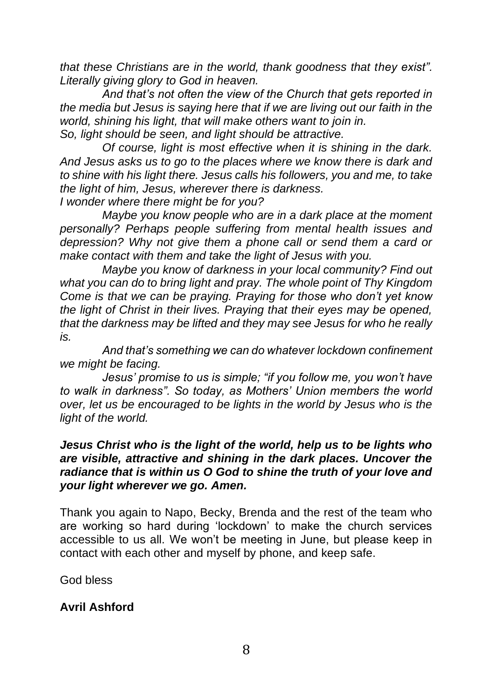*that these Christians are in the world, thank goodness that they exist". Literally giving glory to God in heaven.* 

*And that's not often the view of the Church that gets reported in the media but Jesus is saying here that if we are living out our faith in the world, shining his light, that will make others want to join in. So, light should be seen, and light should be attractive.* 

*Of course, light is most effective when it is shining in the dark. And Jesus asks us to go to the places where we know there is dark and to shine with his light there. Jesus calls his followers, you and me, to take the light of him, Jesus, wherever there is darkness.* 

*I wonder where there might be for you?* 

*Maybe you know people who are in a dark place at the moment personally? Perhaps people suffering from mental health issues and depression? Why not give them a phone call or send them a card or make contact with them and take the light of Jesus with you.* 

*Maybe you know of darkness in your local community? Find out what you can do to bring light and pray. The whole point of Thy Kingdom Come is that we can be praying. Praying for those who don't yet know the light of Christ in their lives. Praying that their eyes may be opened, that the darkness may be lifted and they may see Jesus for who he really is.* 

*And that's something we can do whatever lockdown confinement we might be facing.* 

*Jesus' promise to us is simple; "if you follow me, you won't have to walk in darkness". So today, as Mothers' Union members the world over, let us be encouraged to be lights in the world by Jesus who is the light of the world.* 

#### *Jesus Christ who is the light of the world, help us to be lights who are visible, attractive and shining in the dark places. Uncover the radiance that is within us O God to shine the truth of your love and your light wherever we go. Amen.*

Thank you again to Napo, Becky, Brenda and the rest of the team who are working so hard during 'lockdown' to make the church services accessible to us all. We won't be meeting in June, but please keep in contact with each other and myself by phone, and keep safe.

God bless

### **Avril Ashford**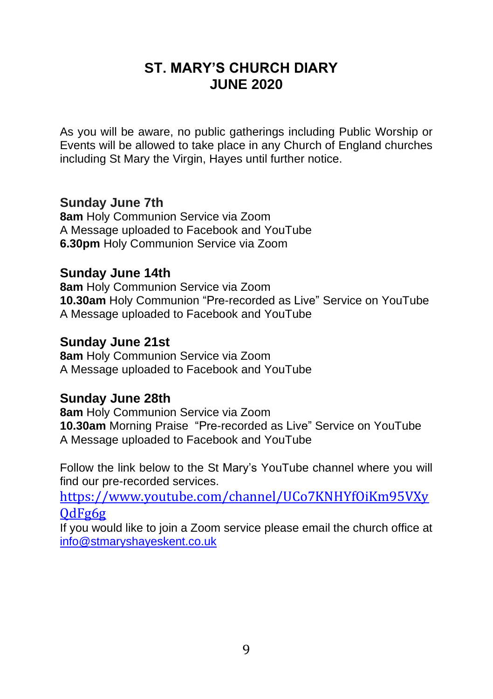# **ST. MARY'S CHURCH DIARY JUNE 2020**

As you will be aware, no public gatherings including Public Worship or Events will be allowed to take place in any Church of England churches including St Mary the Virgin, Hayes until further notice.

## **Sunday June 7th**

**8am** Holy Communion Service via Zoom A Message uploaded to Facebook and YouTube **6.30pm** Holy Communion Service via Zoom

## **Sunday June 14th**

**8am** Holy Communion Service via Zoom **10.30am** Holy Communion "Pre-recorded as Live" Service on YouTube A Message uploaded to Facebook and YouTube

## **Sunday June 21st**

**8am** Holy Communion Service via Zoom A Message uploaded to Facebook and YouTube

### **Sunday June 28th**

**8am** Holy Communion Service via Zoom **10.30am** Morning Praise "Pre-recorded as Live" Service on YouTube A Message uploaded to Facebook and YouTube

Follow the link below to the St Mary's YouTube channel where you will find our pre-recorded services.

[https://www.youtube.com/channel/UCo7KNHYfOiKm95VXy](https://www.youtube.com/channel/UCo7KNHYfOiKm95VXyQdFg6g)  $0dFg6g$ 

If you would like to join a Zoom service please email the church office at [info@stmaryshayeskent.co.uk](mailto:info@stmaryshayeskent.co.uk)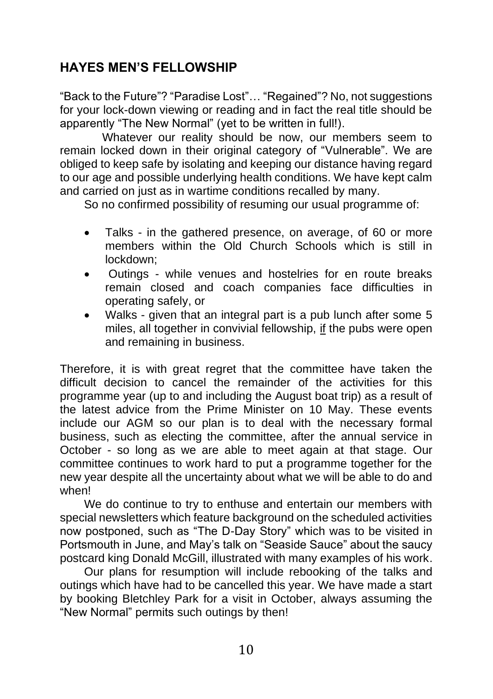# **HAYES MEN'S FELLOWSHIP**

"Back to the Future"? "Paradise Lost"… "Regained"? No, not suggestions for your lock-down viewing or reading and in fact the real title should be apparently "The New Normal" (yet to be written in full!).

Whatever our reality should be now, our members seem to remain locked down in their original category of "Vulnerable". We are obliged to keep safe by isolating and keeping our distance having regard to our age and possible underlying health conditions. We have kept calm and carried on just as in wartime conditions recalled by many.

So no confirmed possibility of resuming our usual programme of:

- Talks in the gathered presence, on average, of 60 or more members within the Old Church Schools which is still in lockdown;
- Outings while venues and hostelries for en route breaks remain closed and coach companies face difficulties in operating safely, or
- Walks given that an integral part is a pub lunch after some 5 miles, all together in convivial fellowship, if the pubs were open and remaining in business.

Therefore, it is with great regret that the committee have taken the difficult decision to cancel the remainder of the activities for this programme year (up to and including the August boat trip) as a result of the latest advice from the Prime Minister on 10 May. These events include our AGM so our plan is to deal with the necessary formal business, such as electing the committee, after the annual service in October - so long as we are able to meet again at that stage. Our committee continues to work hard to put a programme together for the new year despite all the uncertainty about what we will be able to do and when!

We do continue to try to enthuse and entertain our members with special newsletters which feature background on the scheduled activities now postponed, such as "The D-Day Story" which was to be visited in Portsmouth in June, and May's talk on "Seaside Sauce" about the saucy postcard king Donald McGill, illustrated with many examples of his work.

Our plans for resumption will include rebooking of the talks and outings which have had to be cancelled this year. We have made a start by booking Bletchley Park for a visit in October, always assuming the "New Normal" permits such outings by then!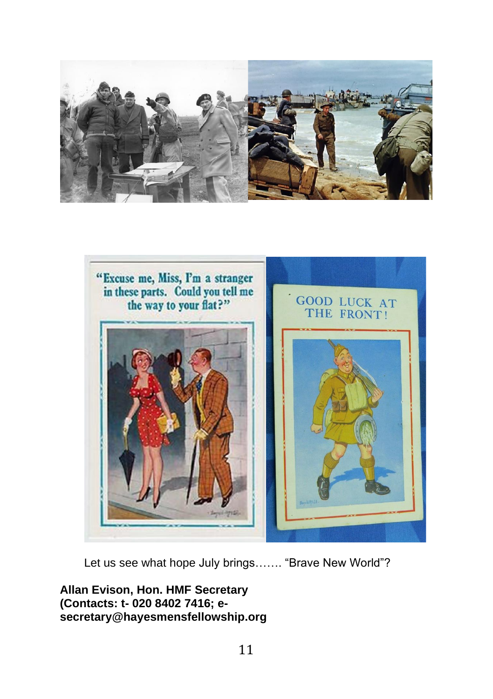



Let us see what hope July brings……. "Brave New World"?

**Allan Evison, Hon. HMF Secretary (Contacts: t- 020 8402 7416; esecretary@hayesmensfellowship.org**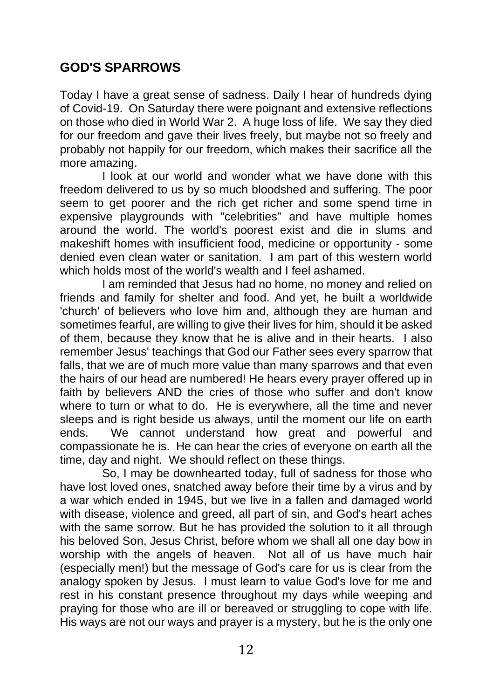## **GOD'S SPARROWS**

Today I have a great sense of sadness. Daily I hear of hundreds dying of Covid-19. On Saturday there were poignant and extensive reflections on those who died in World War 2. A huge loss of life. We say they died for our freedom and gave their lives freely, but maybe not so freely and probably not happily for our freedom, which makes their sacrifice all the more amazing.

I look at our world and wonder what we have done with this freedom delivered to us by so much bloodshed and suffering. The poor seem to get poorer and the rich get richer and some spend time in expensive playgrounds with "celebrities" and have multiple homes around the world. The world's poorest exist and die in slums and makeshift homes with insufficient food, medicine or opportunity - some denied even clean water or sanitation. I am part of this western world which holds most of the world's wealth and I feel ashamed.

I am reminded that Jesus had no home, no money and relied on friends and family for shelter and food. And yet, he built a worldwide 'church' of believers who love him and, although they are human and sometimes fearful, are willing to give their lives for him, should it be asked of them, because they know that he is alive and in their hearts. I also remember Jesus' teachings that God our Father sees every sparrow that falls, that we are of much more value than many sparrows and that even the hairs of our head are numbered! He hears every prayer offered up in faith by believers AND the cries of those who suffer and don't know where to turn or what to do. He is everywhere, all the time and never sleeps and is right beside us always, until the moment our life on earth ends. We cannot understand how great and powerful and compassionate he is. He can hear the cries of everyone on earth all the time, day and night. We should reflect on these things.

So, I may be downhearted today, full of sadness for those who have lost loved ones, snatched away before their time by a virus and by a war which ended in 1945, but we live in a fallen and damaged world with disease, violence and greed, all part of sin, and God's heart aches with the same sorrow. But he has provided the solution to it all through his beloved Son, Jesus Christ, before whom we shall all one day bow in worship with the angels of heaven. Not all of us have much hair (especially men!) but the message of God's care for us is clear from the analogy spoken by Jesus. I must learn to value God's love for me and rest in his constant presence throughout my days while weeping and praying for those who are ill or bereaved or struggling to cope with life. His ways are not our ways and prayer is a mystery, but he is the only one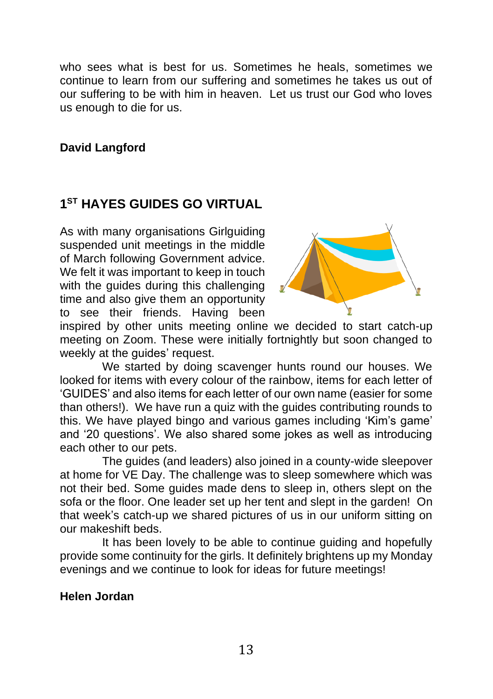who sees what is best for us. Sometimes he heals, sometimes we continue to learn from our suffering and sometimes he takes us out of our suffering to be with him in heaven. Let us trust our God who loves us enough to die for us.

### **David Langford**

## **1 ST HAYES GUIDES GO VIRTUAL**

As with many organisations Girlguiding suspended unit meetings in the middle of March following Government advice. We felt it was important to keep in touch with the guides during this challenging time and also give them an opportunity to see their friends. Having been



inspired by other units meeting online we decided to start catch-up meeting on Zoom. These were initially fortnightly but soon changed to weekly at the quides' request.

We started by doing scavenger hunts round our houses. We looked for items with every colour of the rainbow, items for each letter of 'GUIDES' and also items for each letter of our own name (easier for some than others!). We have run a quiz with the guides contributing rounds to this. We have played bingo and various games including 'Kim's game' and '20 questions'. We also shared some jokes as well as introducing each other to our pets.

The guides (and leaders) also joined in a county-wide sleepover at home for VE Day. The challenge was to sleep somewhere which was not their bed. Some guides made dens to sleep in, others slept on the sofa or the floor. One leader set up her tent and slept in the garden! On that week's catch-up we shared pictures of us in our uniform sitting on our makeshift beds.

It has been lovely to be able to continue guiding and hopefully provide some continuity for the girls. It definitely brightens up my Monday evenings and we continue to look for ideas for future meetings!

#### **Helen Jordan**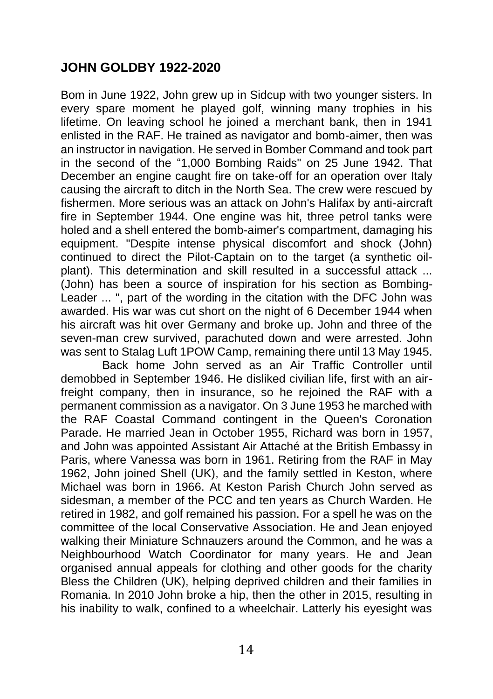## **JOHN GOLDBY 1922-2020**

Bom in June 1922, John grew up in Sidcup with two younger sisters. In every spare moment he played golf, winning many trophies in his lifetime. On leaving school he joined a merchant bank, then in 1941 enlisted in the RAF. He trained as navigator and bomb-aimer, then was an instructor in navigation. He served in Bomber Command and took part in the second of the "1,000 Bombing Raids" on 25 June 1942. That December an engine caught fire on take-off for an operation over Italy causing the aircraft to ditch in the North Sea. The crew were rescued by fishermen. More serious was an attack on John's Halifax by anti-aircraft fire in September 1944. One engine was hit, three petrol tanks were holed and a shell entered the bomb-aimer's compartment, damaging his equipment. "Despite intense physical discomfort and shock (John) continued to direct the Pilot-Captain on to the target (a synthetic oilplant). This determination and skill resulted in a successful attack ... (John) has been a source of inspiration for his section as Bombing-Leader ... ", part of the wording in the citation with the DFC John was awarded. His war was cut short on the night of 6 December 1944 when his aircraft was hit over Germany and broke up. John and three of the seven-man crew survived, parachuted down and were arrested. John was sent to Stalag Luft 1POW Camp, remaining there until 13 May 1945.

Back home John served as an Air Traffic Controller until demobbed in September 1946. He disliked civilian life, first with an airfreight company, then in insurance, so he rejoined the RAF with a permanent commission as a navigator. On 3 June 1953 he marched with the RAF Coastal Command contingent in the Queen's Coronation Parade. He married Jean in October 1955, Richard was born in 1957, and John was appointed Assistant Air Attaché at the British Embassy in Paris, where Vanessa was born in 1961. Retiring from the RAF in May 1962, John joined Shell (UK), and the family settled in Keston, where Michael was born in 1966. At Keston Parish Church John served as sidesman, a member of the PCC and ten years as Church Warden. He retired in 1982, and golf remained his passion. For a spell he was on the committee of the local Conservative Association. He and Jean enjoyed walking their Miniature Schnauzers around the Common, and he was a Neighbourhood Watch Coordinator for many years. He and Jean organised annual appeals for clothing and other goods for the charity Bless the Children (UK), helping deprived children and their families in Romania. In 2010 John broke a hip, then the other in 2015, resulting in his inability to walk, confined to a wheelchair. Latterly his eyesight was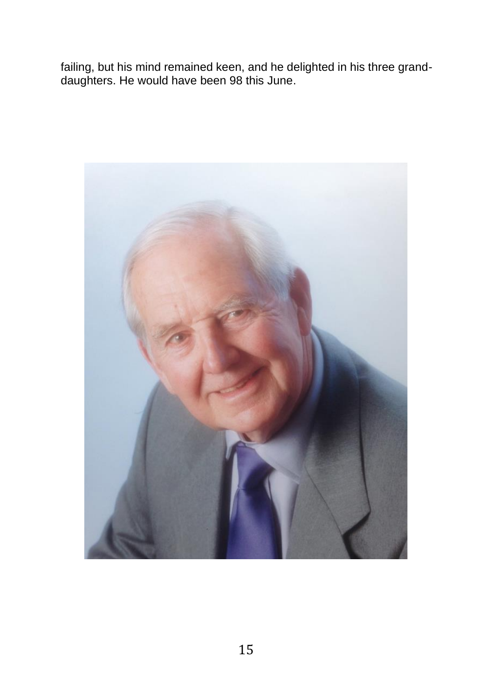failing, but his mind remained keen, and he delighted in his three granddaughters. He would have been 98 this June.

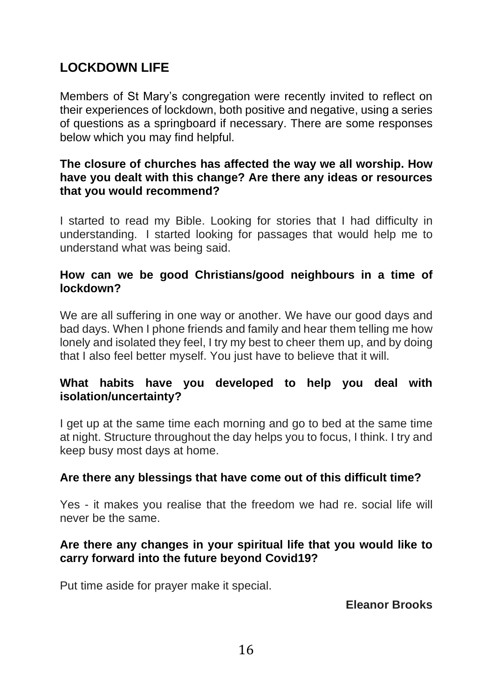# **LOCKDOWN LIFE**

Members of St Mary's congregation were recently invited to reflect on their experiences of lockdown, both positive and negative, using a series of questions as a springboard if necessary. There are some responses below which you may find helpful.

### **The closure of churches has affected the way we all worship. How have you dealt with this change? Are there any ideas or resources that you would recommend?**

I started to read my Bible. Looking for stories that I had difficulty in understanding. I started looking for passages that would help me to understand what was being said.

### **How can we be good Christians/good neighbours in a time of lockdown?**

We are all suffering in one way or another. We have our good days and bad days. When I phone friends and family and hear them telling me how lonely and isolated they feel, I try my best to cheer them up, and by doing that I also feel better myself. You just have to believe that it will.

### **What habits have you developed to help you deal with isolation/uncertainty?**

I get up at the same time each morning and go to bed at the same time at night. Structure throughout the day helps you to focus, I think. I try and keep busy most days at home.

### **Are there any blessings that have come out of this difficult time?**

Yes - it makes you realise that the freedom we had re. social life will never be the same.

### **Are there any changes in your spiritual life that you would like to carry forward into the future beyond Covid19?**

Put time aside for prayer make it special.

**Eleanor Brooks**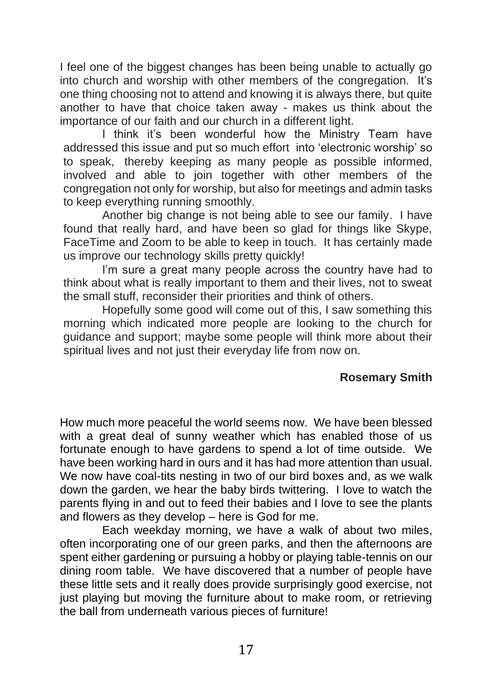I feel one of the biggest changes has been being unable to actually go into church and worship with other members of the congregation. It's one thing choosing not to attend and knowing it is always there, but quite another to have that choice taken away - makes us think about the importance of our faith and our church in a different light.

I think it's been wonderful how the Ministry Team have addressed this issue and put so much effort into 'electronic worship' so to speak, thereby keeping as many people as possible informed, involved and able to join together with other members of the congregation not only for worship, but also for meetings and admin tasks to keep everything running smoothly.

Another big change is not being able to see our family. I have found that really hard, and have been so glad for things like Skype, FaceTime and Zoom to be able to keep in touch. It has certainly made us improve our technology skills pretty quickly!

I'm sure a great many people across the country have had to think about what is really important to them and their lives, not to sweat the small stuff, reconsider their priorities and think of others.

Hopefully some good will come out of this, I saw something this morning which indicated more people are looking to the church for guidance and support; maybe some people will think more about their spiritual lives and not just their everyday life from now on.

### **Rosemary Smith**

How much more peaceful the world seems now. We have been blessed with a great deal of sunny weather which has enabled those of us fortunate enough to have gardens to spend a lot of time outside. We have been working hard in ours and it has had more attention than usual. We now have coal-tits nesting in two of our bird boxes and, as we walk down the garden, we hear the baby birds twittering. I love to watch the parents flying in and out to feed their babies and I love to see the plants and flowers as they develop – here is God for me.

Each weekday morning, we have a walk of about two miles, often incorporating one of our green parks, and then the afternoons are spent either gardening or pursuing a hobby or playing table-tennis on our dining room table. We have discovered that a number of people have these little sets and it really does provide surprisingly good exercise, not just playing but moving the furniture about to make room, or retrieving the ball from underneath various pieces of furniture!